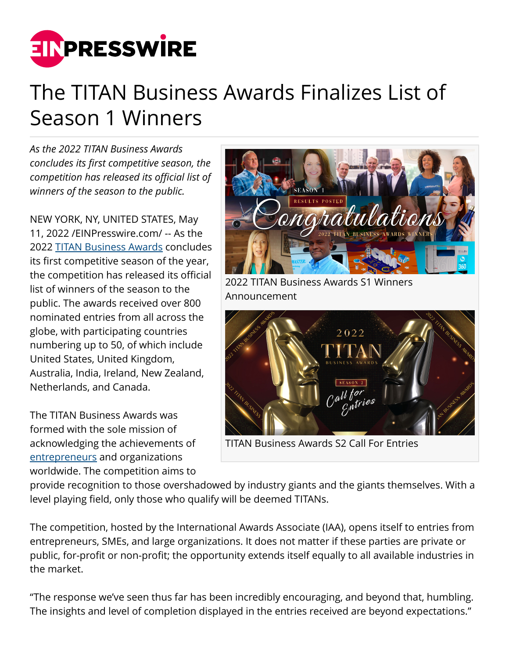

## The TITAN Business Awards Finalizes List of Season 1 Winners

*As the 2022 TITAN Business Awards concludes its first competitive season, the competition has released its official list of winners of the season to the public.*

NEW YORK, NY, UNITED STATES, May 11, 2022 /[EINPresswire.com/](http://www.einpresswire.com) -- As the 2022 [TITAN Business Awards](https://thetitanawards.com/) concludes its first competitive season of the year, the competition has released its official list of winners of the season to the public. The awards received over 800 nominated entries from all across the globe, with participating countries numbering up to 50, of which include United States, United Kingdom, Australia, India, Ireland, New Zealand, Netherlands, and Canada.

The TITAN Business Awards was formed with the sole mission of acknowledging the achievements of [entrepreneurs](https://thetitanawards.com/entrepreneur-awards.php) and organizations worldwide. The competition aims to



Announcement



TITAN Business Awards S2 Call For Entries

provide recognition to those overshadowed by industry giants and the giants themselves. With a level playing field, only those who qualify will be deemed TITANs.

The competition, hosted by the International Awards Associate (IAA), opens itself to entries from entrepreneurs, SMEs, and large organizations. It does not matter if these parties are private or public, for-profit or non-profit; the opportunity extends itself equally to all available industries in the market.

"The response we've seen thus far has been incredibly encouraging, and beyond that, humbling. The insights and level of completion displayed in the entries received are beyond expectations."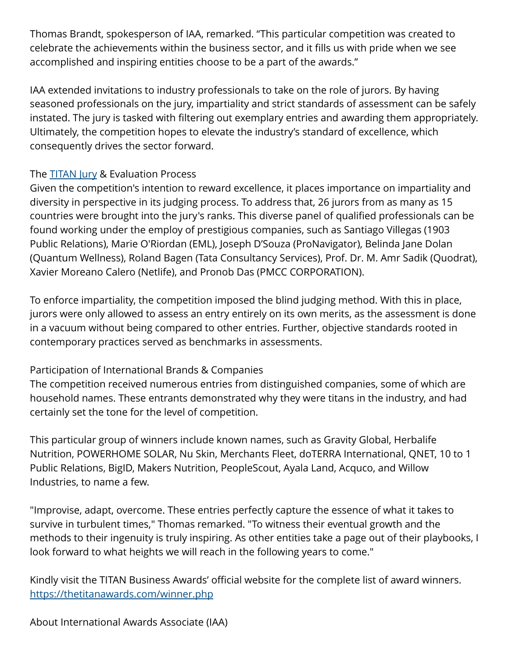Thomas Brandt, spokesperson of IAA, remarked. "This particular competition was created to celebrate the achievements within the business sector, and it fills us with pride when we see accomplished and inspiring entities choose to be a part of the awards."

IAA extended invitations to industry professionals to take on the role of jurors. By having seasoned professionals on the jury, impartiality and strict standards of assessment can be safely instated. The jury is tasked with filtering out exemplary entries and awarding them appropriately. Ultimately, the competition hopes to elevate the industry's standard of excellence, which consequently drives the sector forward.

## The **[TITAN Jury](https://thetitanawards.com/our-judge.php) & Evaluation Process**

Given the competition's intention to reward excellence, it places importance on impartiality and diversity in perspective in its judging process. To address that, 26 jurors from as many as 15 countries were brought into the jury's ranks. This diverse panel of qualified professionals can be found working under the employ of prestigious companies, such as Santiago Villegas (1903 Public Relations), Marie O'Riordan (EML), Joseph D'Souza (ProNavigator), Belinda Jane Dolan (Quantum Wellness), Roland Bagen (Tata Consultancy Services), Prof. Dr. M. Amr Sadik (Quodrat), Xavier Moreano Calero (Netlife), and Pronob Das (PMCC CORPORATION).

To enforce impartiality, the competition imposed the blind judging method. With this in place, jurors were only allowed to assess an entry entirely on its own merits, as the assessment is done in a vacuum without being compared to other entries. Further, objective standards rooted in contemporary practices served as benchmarks in assessments.

## Participation of International Brands & Companies

The competition received numerous entries from distinguished companies, some of which are household names. These entrants demonstrated why they were titans in the industry, and had certainly set the tone for the level of competition.

This particular group of winners include known names, such as Gravity Global, Herbalife Nutrition, POWERHOME SOLAR, Nu Skin, Merchants Fleet, doTERRA International, QNET, 10 to 1 Public Relations, BigID, Makers Nutrition, PeopleScout, Ayala Land, Acquco, and Willow Industries, to name a few.

"Improvise, adapt, overcome. These entries perfectly capture the essence of what it takes to survive in turbulent times," Thomas remarked. "To witness their eventual growth and the methods to their ingenuity is truly inspiring. As other entities take a page out of their playbooks, I look forward to what heights we will reach in the following years to come."

Kindly visit the TITAN Business Awards' official website for the complete list of award winners. <https://thetitanawards.com/winner.php>

About International Awards Associate (IAA)